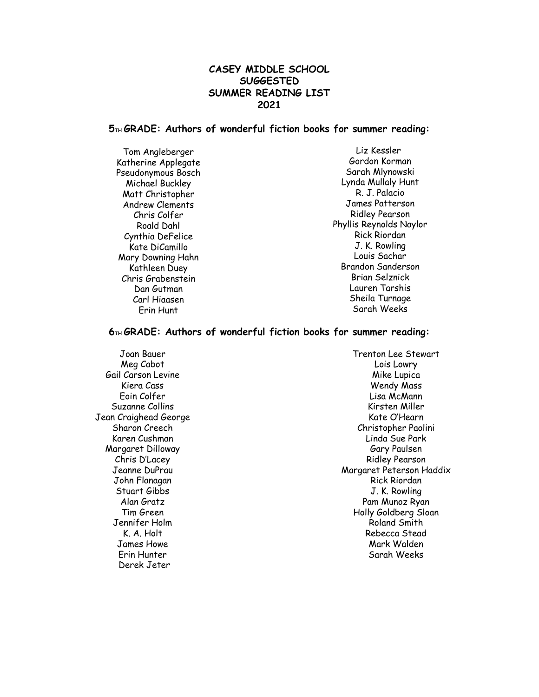# **CASEY MIDDLE SCHOOL SUGGESTED SUMMER READING LIST 2021**

## **5TH GRADE: Authors of wonderful fiction books for summer reading:**

Tom Angleberger Katherine Applegate Pseudonymous Bosch Michael Buckley Matt Christopher Andrew Clements Chris Colfer Roald Dahl Cynthia DeFelice Kate DiCamillo Mary Downing Hahn Kathleen Duey Chris Grabenstein Dan Gutman Carl Hiaasen Erin Hunt

Liz Kessler Gordon Korman Sarah Mlynowski Lynda Mullaly Hunt R. J. Palacio James Patterson Ridley Pearson Phyllis Reynolds Naylor Rick Riordan J. K. Rowling Louis Sachar Brandon Sanderson Brian Selznick Lauren Tarshis Sheila Turnage Sarah Weeks

### **6TH GRADE: Authors of wonderful fiction books for summer reading:**

Joan Bauer Meg Cabot Gail Carson Levine Kiera Cass Eoin Colfer Suzanne Collins Jean Craighead George Sharon Creech Karen Cushman Margaret Dilloway Chris D'Lacey Jeanne DuPrau John Flanagan Stuart Gibbs Alan Gratz Tim Green Jennifer Holm K. A. Holt James Howe Erin Hunter Derek Jeter

Trenton Lee Stewart Lois Lowry Mike Lupica Wendy Mass Lisa McMann Kirsten Miller Kate O'Hearn Christopher Paolini Linda Sue Park Gary Paulsen Ridley Pearson Margaret Peterson Haddix Rick Riordan J. K. Rowling Pam Munoz Ryan Holly Goldberg Sloan Roland Smith Rebecca Stead Mark Walden Sarah Weeks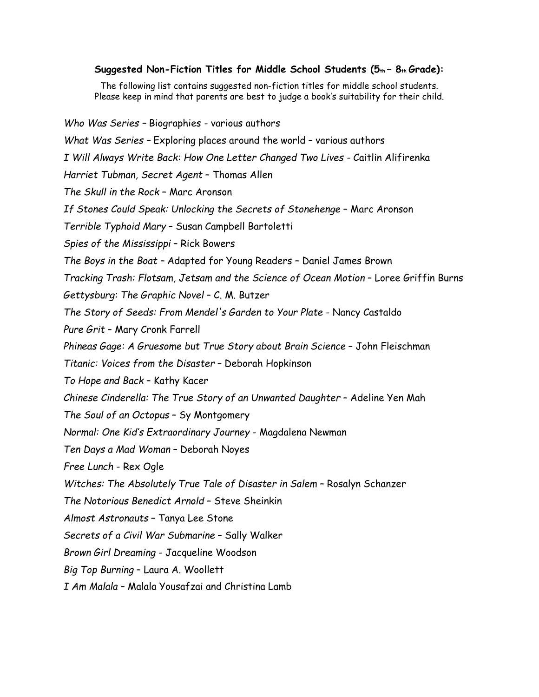## **Suggested Non-Fiction Titles for Middle School Students (5th – 8th Grade):**

The following list contains suggested non-fiction titles for middle school students. Please keep in mind that parents are best to judge a book's suitability for their child.

*Who Was Series –* Biographies - various authors *What Was Series –* Exploring places around the world – various authors *I Will Always Write Back: How One Letter Changed Two Lives -* Caitlin Alifirenka *Harriet Tubman, Secret Agent* – Thomas Allen *The Skull in the Rock* – Marc Aronson *If Stones Could Speak: Unlocking the Secrets of Stonehenge* – Marc Aronson *Terrible Typhoid Mary* – Susan Campbell Bartoletti *Spies of the Mississippi* – Rick Bowers *The Boys in the Boat –* Adapted for Young Readers – Daniel James Brown *Tracking Trash: Flotsam, Jetsam and the Science of Ocean Motion* – Loree Griffin Burns *Gettysburg: The Graphic Novel* – C. M. Butzer *The Story of Seeds: From Mendel's Garden to Your Plate* - Nancy Castaldo *Pure Grit* – Mary Cronk Farrell *Phineas Gage: A Gruesome but True Story about Brain Science* – John Fleischman *Titanic: Voices from the Disaster* – Deborah Hopkinson *To Hope and Back* – Kathy Kacer *Chinese Cinderella: The True Story of an Unwanted Daughter* – Adeline Yen Mah *The Soul of an Octopus* – Sy Montgomery *Normal: One Kid's Extraordinary Journey* - Magdalena Newman *Ten Days a Mad Woman* – Deborah Noyes *Free Lunch* - Rex Ogle *Witches: The Absolutely True Tale of Disaster in Salem* – Rosalyn Schanzer *The Notorious Benedict Arnold* – Steve Sheinkin *Almost Astronauts* – Tanya Lee Stone *Secrets of a Civil War Submarine* – Sally Walker *Brown Girl Dreaming* - Jacqueline Woodson *Big Top Burning* – Laura A. Woollett *I Am Malala* – Malala Yousafzai and Christina Lamb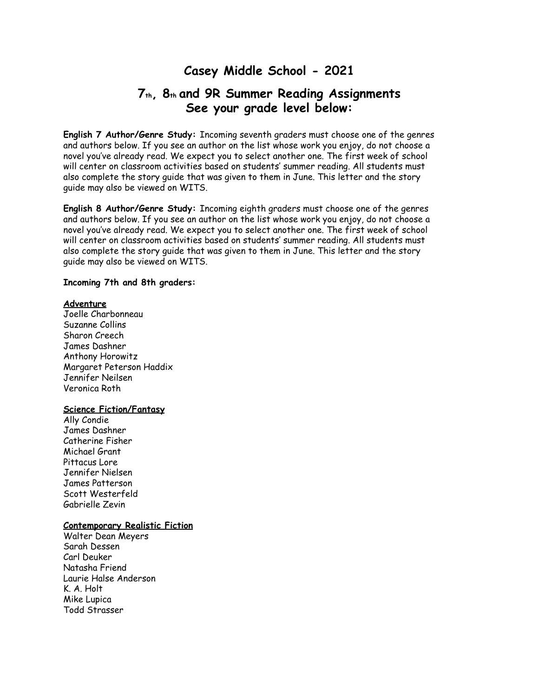# **Casey Middle School - 2021**

# **7th, 8th and 9R Summer Reading Assignments See your grade level below:**

**English 7 Author/Genre Study:** Incoming seventh graders must choose one of the genres and authors below. If you see an author on the list whose work you enjoy, do not choose a novel you've already read. We expect you to select another one. The first week of school will center on classroom activities based on students' summer reading. All students must also complete the story guide that was given to them in June. This letter and the story guide may also be viewed on WITS.

**English 8 Author/Genre Study:** Incoming eighth graders must choose one of the genres and authors below. If you see an author on the list whose work you enjoy, do not choose a novel you've already read. We expect you to select another one. The first week of school will center on classroom activities based on students' summer reading. All students must also complete the story guide that was given to them in June. This letter and the story guide may also be viewed on WITS.

#### **Incoming 7th and 8th graders:**

#### **Adventure**

Joelle Charbonneau Suzanne Collins Sharon Creech James Dashner Anthony Horowitz Margaret Peterson Haddix Jennifer Neilsen Veronica Roth

#### **Science Fiction/Fantasy**

Ally Condie James Dashner Catherine Fisher Michael Grant Pittacus Lore Jennifer Nielsen James Patterson Scott Westerfeld Gabrielle Zevin

#### **Contemporary Realistic Fiction**

Walter Dean Meyers Sarah Dessen Carl Deuker Natasha Friend Laurie Halse Anderson K. A. Holt Mike Lupica Todd Strasser